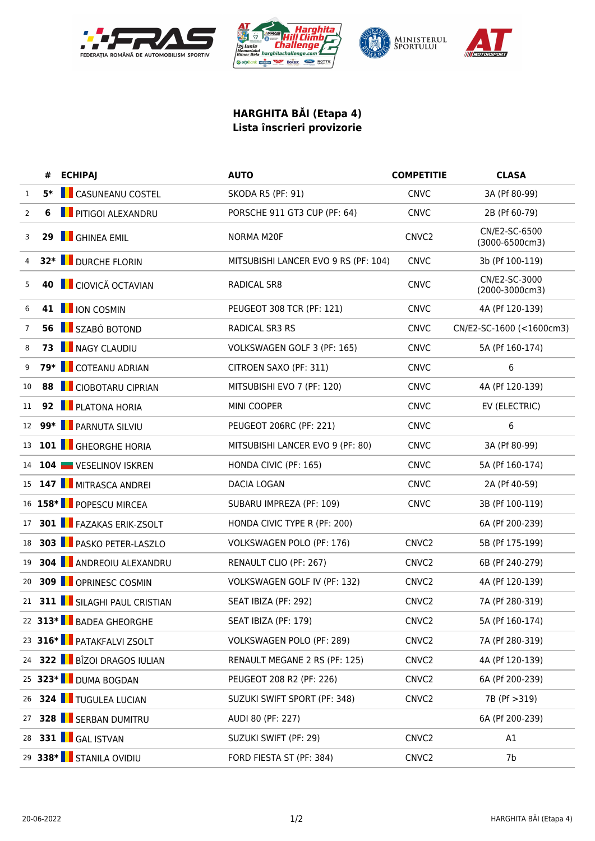







## **HARGHITA BĂI (Etapa 4) Lista înscrieri provizorie**

|                | #    | <b>ECHIPAJ</b>                     | <b>AUTO</b>                          | <b>COMPETITIE</b> | <b>CLASA</b>                    |
|----------------|------|------------------------------------|--------------------------------------|-------------------|---------------------------------|
| 1              | $5*$ | <b>CASUNEANU COSTEL</b>            | <b>SKODA R5 (PF: 91)</b>             | <b>CNVC</b>       | 3A (Pf 80-99)                   |
| $\overline{2}$ | 6    | PITIGOI ALEXANDRU                  | PORSCHE 911 GT3 CUP (PF: 64)         | <b>CNVC</b>       | 2B (Pf 60-79)                   |
| 3              | 29   | <b>T</b> GHINEA EMIL               | NORMA M20F                           | CNVC <sub>2</sub> | CN/E2-SC-6500<br>(3000-6500cm3) |
| 4              |      | 32* <b>DURCHE FLORIN</b>           | MITSUBISHI LANCER EVO 9 RS (PF: 104) | <b>CNVC</b>       | 3b (Pf 100-119)                 |
| 5              |      | 40 <b>CIOVICĂ OCTAVIAN</b>         | RADICAL SR8                          | <b>CNVC</b>       | CN/E2-SC-3000<br>(2000-3000cm3) |
| 6              |      | 41   ION COSMIN                    | PEUGEOT 308 TCR (PF: 121)            | <b>CNVC</b>       | 4A (Pf 120-139)                 |
| $\overline{7}$ | 56   | SZABÓ BOTOND                       | RADICAL SR3 RS                       | <b>CNVC</b>       | CN/E2-SC-1600 (<1600cm3)        |
| 8              | 73   | NAGY CLAUDIU                       | VOLKSWAGEN GOLF 3 (PF: 165)          | <b>CNVC</b>       | 5A (Pf 160-174)                 |
| 9              |      | 79* COTEANU ADRIAN                 | CITROEN SAXO (PF: 311)               | <b>CNVC</b>       | 6                               |
| 10             | 88   | <b>CIOBOTARU CIPRIAN</b>           | MITSUBISHI EVO 7 (PF: 120)           | <b>CNVC</b>       | 4A (Pf 120-139)                 |
| 11             | 92   | <b>FE</b> PLATONA HORIA            | MINI COOPER                          | <b>CNVC</b>       | EV (ELECTRIC)                   |
| 12             |      | 99* FARNUTA SILVIU                 | PEUGEOT 206RC (PF: 221)              | <b>CNVC</b>       | 6                               |
| 13             |      | 101   GHEORGHE HORIA               | MITSUBISHI LANCER EVO 9 (PF: 80)     | <b>CNVC</b>       | 3A (Pf 80-99)                   |
| 14             |      | 104 <b>WESELINOV ISKREN</b>        | HONDA CIVIC (PF: 165)                | <b>CNVC</b>       | 5A (Pf 160-174)                 |
| 15             |      | 147   MITRASCA ANDREI              | <b>DACIA LOGAN</b>                   | <b>CNVC</b>       | 2A (Pf 40-59)                   |
|                |      | 16 158* POPESCU MIRCEA             | SUBARU IMPREZA (PF: 109)             | <b>CNVC</b>       | 3B (Pf 100-119)                 |
| 17             |      | <b>301   FAZAKAS ERIK-ZSOLT</b>    | HONDA CIVIC TYPE R (PF: 200)         |                   | 6A (Pf 200-239)                 |
| 18             |      | 303 PASKO PETER-LASZLO             | VOLKSWAGEN POLO (PF: 176)            | CNVC <sub>2</sub> | 5B (Pf 175-199)                 |
| 19             |      | 304 <b>ANDREOIU ALEXANDRU</b>      | RENAULT CLIO (PF: 267)               | CNVC <sub>2</sub> | 6B (Pf 240-279)                 |
| 20             |      | 309 <b>CONDITE</b> OPRINESC COSMIN | VOLKSWAGEN GOLF IV (PF: 132)         | CNVC <sub>2</sub> | 4A (Pf 120-139)                 |
| 21             |      | <b>311   SILAGHI PAUL CRISTIAN</b> | SEAT IBIZA (PF: 292)                 | CNVC <sub>2</sub> | 7A (Pf 280-319)                 |
|                |      | 22 313* BADEA GHEORGHE             | SEAT IBIZA (PF: 179)                 | CNVC <sub>2</sub> | 5A (Pf 160-174)                 |
|                |      | 23 316* PATAKFALVI ZSOLT           | VOLKSWAGEN POLO (PF: 289)            | CNVC <sub>2</sub> | 7A (Pf 280-319)                 |
| 24             |      | 322 <b>B</b> BÎZOI DRAGOS IULIAN   | RENAULT MEGANE 2 RS (PF: 125)        | CNVC <sub>2</sub> | 4A (Pf 120-139)                 |
|                |      | 25 323* DUMA BOGDAN                | PEUGEOT 208 R2 (PF: 226)             | CNVC <sub>2</sub> | 6A (Pf 200-239)                 |
|                |      | 26 324 TUGULEA LUCIAN              | SUZUKI SWIFT SPORT (PF: 348)         | CNVC <sub>2</sub> | 7B (Pf > 319)                   |
| 27             |      | 328   SERBAN DUMITRU               | AUDI 80 (PF: 227)                    |                   | 6A (Pf 200-239)                 |
| 28             |      | 331 GAL ISTVAN                     | SUZUKI SWIFT (PF: 29)                | CNVC <sub>2</sub> | A1                              |
|                |      | 29 338* STANILA OVIDIU             | FORD FIESTA ST (PF: 384)             | CNVC <sub>2</sub> | 7b                              |